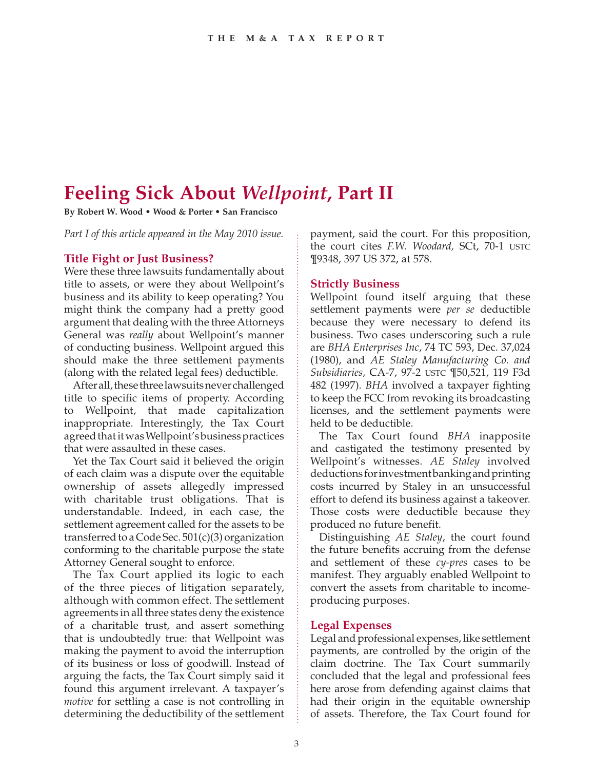# **Feeling Sick About** *Wellpoint***, Part II**

**By Robert W. Wood • Wood & Porter • San Francisco**

*Part I of this article appeared in the May 2010 issue.*

#### **Title Fight or Just Business?**

Were these three lawsuits fundamentally about title to assets, or were they about Wellpoint's business and its ability to keep operating? You might think the company had a pretty good argument that dealing with the three Attorneys General was *really* about Wellpoint's manner of conducting business. Wellpoint argued this should make the three settlement payments (along with the related legal fees) deductible.

After all, these three lawsuits never challenged title to specific items of property. According to Wellpoint, that made capitalization inappropriate. Interestingly, the Tax Court agreed that it was Wellpoint's business practices that were assaulted in these cases.

Yet the Tax Court said it believed the origin of each claim was a dispute over the equitable ownership of assets allegedly impressed with charitable trust obligations. That is understandable. Indeed, in each case, the settlement agreement called for the assets to be transferred to a Code Sec.  $501(c)(3)$  organization conforming to the charitable purpose the state Attorney General sought to enforce.

The Tax Court applied its logic to each of the three pieces of litigation separately, although with common effect. The settlement agreements in all three states deny the existence of a charitable trust, and assert something that is undoubtedly true: that Wellpoint was making the payment to avoid the interruption of its business or loss of goodwill. Instead of arguing the facts, the Tax Court simply said it found this argument irrelevant. A taxpayer's *motive* for settling a case is not controlling in determining the deductibility of the settlement payment, said the court. For this proposition, the court cites *F.W. Woodard,* SCt, 70-1 USTC ¶9348, 397 US 372, at 578.

#### **Strictly Business**

Wellpoint found itself arguing that these settlement payments were *per se* deductible because they were necessary to defend its business. Two cases underscoring such a rule are *BHA Enterprises Inc*, 74 TC 593, Dec. 37,024 (1980), and *AE Staley Manufacturing Co. and Subsidiaries,* CA-7, 97-2 USTC ¶50,521, 119 F3d 482 (1997). *BHA* involved a taxpayer fighting to keep the FCC from revoking its broadcasting licenses, and the settlement payments were held to be deductible.

The Tax Court found *BHA* inapposite and castigated the testimony presented by Wellpoint's witnesses. *AE Staley* involved deductions for investment banking and printing costs incurred by Staley in an unsuccessful effort to defend its business against a takeover. Those costs were deductible because they produced no future benefit.

Distinguishing *AE Staley*, the court found the future benefits accruing from the defense and settlement of these *cy-pres* cases to be manifest. They arguably enabled Wellpoint to convert the assets from charitable to incomeproducing purposes.

#### **Legal Expenses**

Legal and professional expenses, like settlement payments, are controlled by the origin of the claim doctrine. The Tax Court summarily concluded that the legal and professional fees here arose from defending against claims that had their origin in the equitable ownership of assets. Therefore, the Tax Court found for